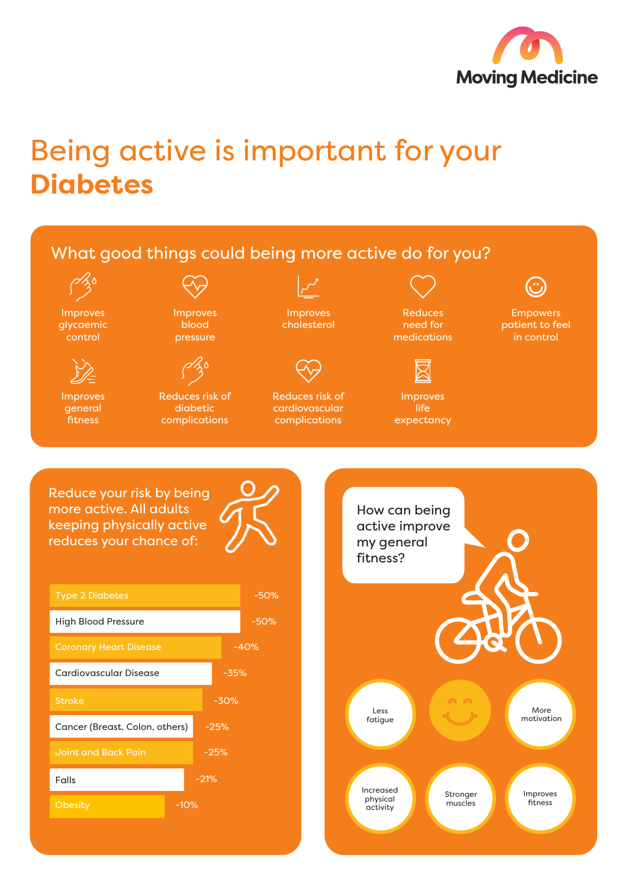

## Being active is important for your **Diabetes**